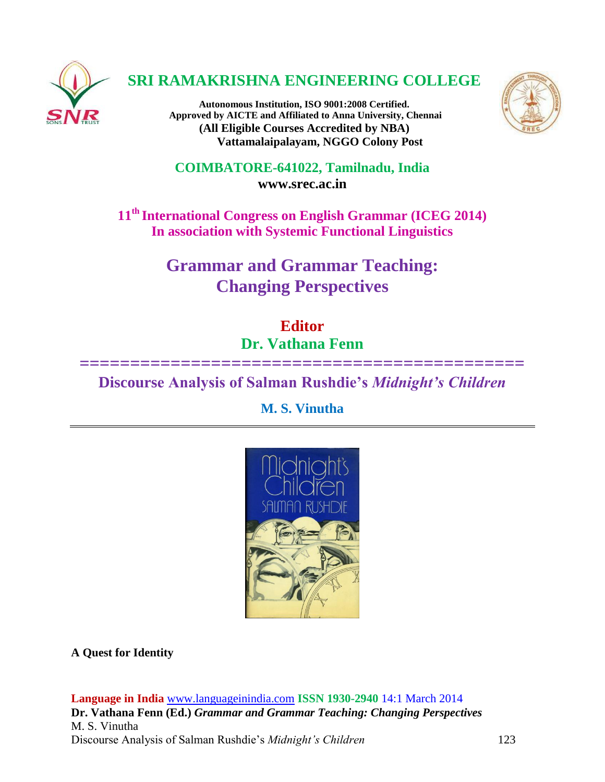

# **SRI RAMAKRISHNA ENGINEERING COLLEGE**

**Autonomous Institution, ISO 9001:2008 Certified. Approved by AICTE and Affiliated to Anna University, Chennai (All Eligible Courses Accredited by NBA) Vattamalaipalayam, NGGO Colony Post**



**COIMBATORE-641022, Tamilnadu, India [www.srec.ac.in](http://www.srec.ac.in/)**

**11th International Congress on English Grammar (ICEG 2014) In association with Systemic Functional Linguistics**

> **Grammar and Grammar Teaching: Changing Perspectives**

> > **Editor Dr. Vathana Fenn**

**============================================**

**Discourse Analysis of Salman Rushdie's** *Midnight's Children*

**M. S. Vinutha**



**A Quest for Identity**

**Language in India** [www.languageinindia.com](http://www.languageinindia.com/) **ISSN 1930-2940** 14:1 March 2014 **Dr. Vathana Fenn (Ed.)** *Grammar and Grammar Teaching: Changing Perspectives* M. S. Vinutha Discourse Analysis of Salman Rushdie's *Midnight's Children* 123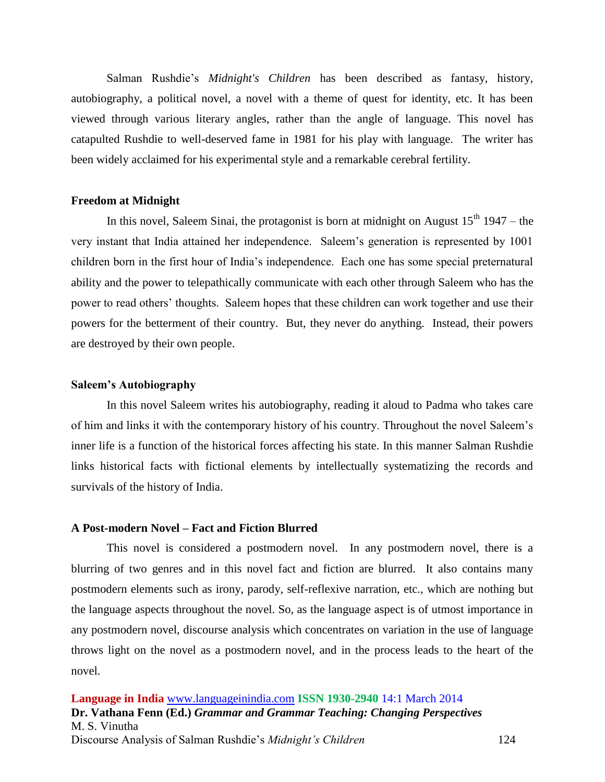Salman Rushdie's *Midnight's Children* has been described as fantasy, history, autobiography, a political novel, a novel with a theme of quest for identity, etc. It has been viewed through various literary angles, rather than the angle of language. This novel has catapulted Rushdie to well-deserved fame in 1981 for his play with language. The writer has been widely acclaimed for his experimental style and a remarkable cerebral fertility.

#### **Freedom at Midnight**

In this novel, Saleem Sinai, the protagonist is born at midnight on August  $15<sup>th</sup> 1947$  – the very instant that India attained her independence. Saleem's generation is represented by 1001 children born in the first hour of India's independence. Each one has some special preternatural ability and the power to telepathically communicate with each other through Saleem who has the power to read others' thoughts. Saleem hopes that these children can work together and use their powers for the betterment of their country. But, they never do anything. Instead, their powers are destroyed by their own people.

## **Saleem's Autobiography**

In this novel Saleem writes his autobiography, reading it aloud to Padma who takes care of him and links it with the contemporary history of his country. Throughout the novel Saleem's inner life is a function of the historical forces affecting his state. In this manner Salman Rushdie links historical facts with fictional elements by intellectually systematizing the records and survivals of the history of India.

# **A Post-modern Novel – Fact and Fiction Blurred**

This novel is considered a postmodern novel. In any postmodern novel, there is a blurring of two genres and in this novel fact and fiction are blurred. It also contains many postmodern elements such as irony, parody, self-reflexive narration, etc., which are nothing but the language aspects throughout the novel. So, as the language aspect is of utmost importance in any postmodern novel, discourse analysis which concentrates on variation in the use of language throws light on the novel as a postmodern novel, and in the process leads to the heart of the novel.

**Language in India** [www.languageinindia.com](http://www.languageinindia.com/) **ISSN 1930-2940** 14:1 March 2014 **Dr. Vathana Fenn (Ed.)** *Grammar and Grammar Teaching: Changing Perspectives* M. S. Vinutha Discourse Analysis of Salman Rushdie's *Midnight's Children* 124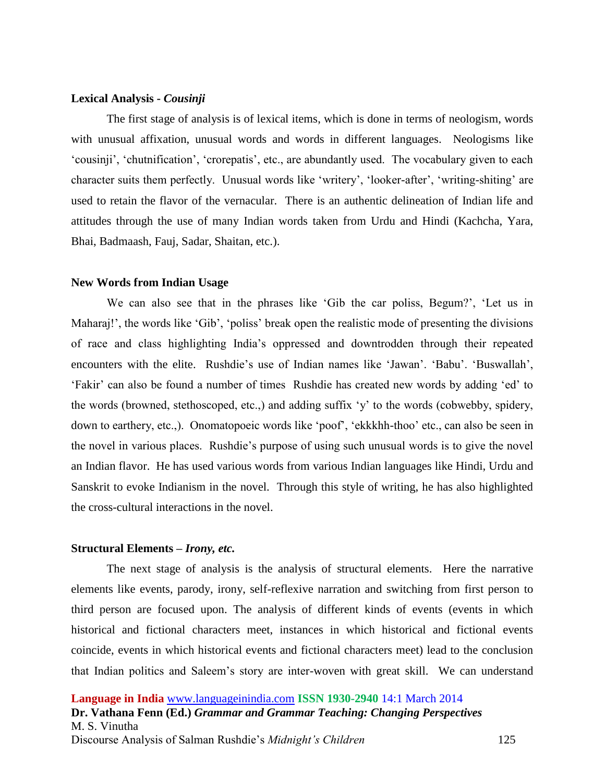#### **Lexical Analysis -** *Cousinji*

The first stage of analysis is of lexical items, which is done in terms of neologism, words with unusual affixation, unusual words and words in different languages. Neologisms like 'cousinji', 'chutnification', 'crorepatis', etc., are abundantly used. The vocabulary given to each character suits them perfectly. Unusual words like 'writery', 'looker-after', 'writing-shiting' are used to retain the flavor of the vernacular. There is an authentic delineation of Indian life and attitudes through the use of many Indian words taken from Urdu and Hindi (Kachcha, Yara, Bhai, Badmaash, Fauj, Sadar, Shaitan, etc.).

### **New Words from Indian Usage**

We can also see that in the phrases like 'Gib the car poliss, Begum?', 'Let us in Maharaj!', the words like 'Gib', 'poliss' break open the realistic mode of presenting the divisions of race and class highlighting India's oppressed and downtrodden through their repeated encounters with the elite. Rushdie's use of Indian names like 'Jawan'. 'Babu'. 'Buswallah', 'Fakir' can also be found a number of times Rushdie has created new words by adding 'ed' to the words (browned, stethoscoped, etc.,) and adding suffix 'y' to the words (cobwebby, spidery, down to earthery, etc.,). Onomatopoeic words like 'poof', 'ekkkhh-thoo' etc., can also be seen in the novel in various places. Rushdie's purpose of using such unusual words is to give the novel an Indian flavor. He has used various words from various Indian languages like Hindi, Urdu and Sanskrit to evoke Indianism in the novel. Through this style of writing, he has also highlighted the cross-cultural interactions in the novel.

# **Structural Elements –** *Irony, etc.*

The next stage of analysis is the analysis of structural elements. Here the narrative elements like events, parody, irony, self-reflexive narration and switching from first person to third person are focused upon. The analysis of different kinds of events (events in which historical and fictional characters meet, instances in which historical and fictional events coincide, events in which historical events and fictional characters meet) lead to the conclusion that Indian politics and Saleem's story are inter-woven with great skill. We can understand

**Language in India** [www.languageinindia.com](http://www.languageinindia.com/) **ISSN 1930-2940** 14:1 March 2014 **Dr. Vathana Fenn (Ed.)** *Grammar and Grammar Teaching: Changing Perspectives* M. S. Vinutha Discourse Analysis of Salman Rushdie's *Midnight's Children* 125